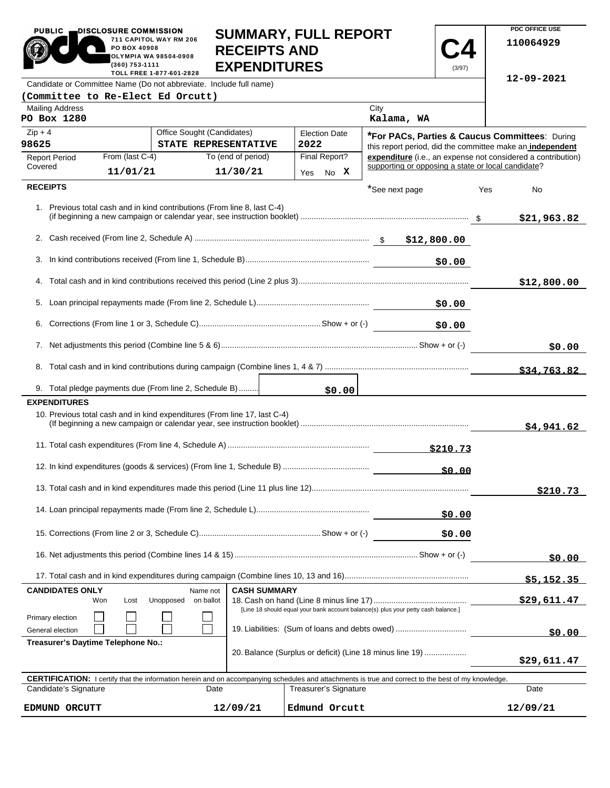| <b>PUBLIC</b>                                                                                                                                              | DISCLOSURE COMMISSION<br>PO BOX 40908<br>(360) 753-1111            | 711 CAPITOL WAY RM 206<br><b>OLYMPIA WA 98504-0908</b><br>TOLL FREE 1-877-601-2828 | <b>SUMMARY, FULL REPORT</b><br><b>RECEIPTS AND</b><br><b>EXPENDITURES</b> |  |      |                      |                                                           | (3/97)   |     | PDC OFFICE USE<br>110064929                                  |
|------------------------------------------------------------------------------------------------------------------------------------------------------------|--------------------------------------------------------------------|------------------------------------------------------------------------------------|---------------------------------------------------------------------------|--|------|----------------------|-----------------------------------------------------------|----------|-----|--------------------------------------------------------------|
| Candidate or Committee Name (Do not abbreviate. Include full name)                                                                                         |                                                                    |                                                                                    |                                                                           |  |      |                      |                                                           |          |     | 12-09-2021                                                   |
| (Committee to Re-Elect Ed Orcutt)                                                                                                                          |                                                                    |                                                                                    |                                                                           |  |      |                      |                                                           |          |     |                                                              |
| <b>Mailing Address</b><br>PO Box 1280                                                                                                                      |                                                                    |                                                                                    |                                                                           |  |      |                      | City<br>Kalama, WA                                        |          |     |                                                              |
| $Zip + 4$                                                                                                                                                  |                                                                    | Office Sought (Candidates)                                                         |                                                                           |  |      | <b>Election Date</b> | *For PACs, Parties & Caucus Committees: During            |          |     |                                                              |
| 98625                                                                                                                                                      |                                                                    | STATE REPRESENTATIVE                                                               |                                                                           |  | 2022 |                      | this report period, did the committee make an independent |          |     |                                                              |
| <b>Report Period</b><br>Covered                                                                                                                            | From (last C-4)<br>11/01/21                                        |                                                                                    | To (end of period)<br>11/30/21                                            |  |      | Final Report?        | supporting or opposing a state or local candidate?        |          |     | expenditure (i.e., an expense not considered a contribution) |
| <b>RECEIPTS</b>                                                                                                                                            |                                                                    |                                                                                    |                                                                           |  | Yes  | No X                 |                                                           |          |     |                                                              |
| 1. Previous total cash and in kind contributions (From line 8, last C-4)                                                                                   |                                                                    |                                                                                    |                                                                           |  |      |                      | *See next page                                            |          | Yes | No<br>\$21,963.82                                            |
|                                                                                                                                                            |                                                                    |                                                                                    |                                                                           |  |      |                      |                                                           |          |     |                                                              |
|                                                                                                                                                            |                                                                    |                                                                                    |                                                                           |  |      |                      |                                                           |          |     |                                                              |
|                                                                                                                                                            |                                                                    |                                                                                    |                                                                           |  |      |                      |                                                           | \$0.00   |     |                                                              |
|                                                                                                                                                            |                                                                    |                                                                                    |                                                                           |  |      |                      |                                                           |          |     | \$12,800.00                                                  |
|                                                                                                                                                            |                                                                    |                                                                                    |                                                                           |  |      |                      |                                                           |          |     |                                                              |
|                                                                                                                                                            |                                                                    |                                                                                    |                                                                           |  |      |                      |                                                           | \$0.00   |     |                                                              |
|                                                                                                                                                            |                                                                    |                                                                                    |                                                                           |  |      |                      | \$0.00                                                    |          |     |                                                              |
|                                                                                                                                                            |                                                                    |                                                                                    |                                                                           |  |      |                      |                                                           |          |     |                                                              |
|                                                                                                                                                            |                                                                    |                                                                                    |                                                                           |  |      |                      |                                                           |          |     | \$34,763.82                                                  |
| 9. Total pledge payments due (From line 2, Schedule B)<br><b>EXPENDITURES</b>                                                                              |                                                                    |                                                                                    |                                                                           |  |      | \$0.00               |                                                           |          |     |                                                              |
| 10. Previous total cash and in kind expenditures (From line 17, last C-4)                                                                                  |                                                                    |                                                                                    |                                                                           |  |      |                      |                                                           |          |     | \$4,941.62                                                   |
|                                                                                                                                                            |                                                                    |                                                                                    |                                                                           |  |      |                      |                                                           | \$210.73 |     |                                                              |
|                                                                                                                                                            |                                                                    |                                                                                    |                                                                           |  |      |                      |                                                           | \$0.00   |     |                                                              |
|                                                                                                                                                            |                                                                    |                                                                                    |                                                                           |  |      |                      |                                                           |          |     | \$210.73                                                     |
| \$0.00                                                                                                                                                     |                                                                    |                                                                                    |                                                                           |  |      |                      |                                                           |          |     |                                                              |
|                                                                                                                                                            |                                                                    |                                                                                    |                                                                           |  |      |                      |                                                           | \$0.00   |     |                                                              |
|                                                                                                                                                            |                                                                    |                                                                                    |                                                                           |  |      |                      | \$0.00                                                    |          |     |                                                              |
|                                                                                                                                                            |                                                                    |                                                                                    |                                                                           |  |      |                      |                                                           |          |     | \$5,152.35                                                   |
| <b>CASH SUMMARY</b><br><b>CANDIDATES ONLY</b><br>Name not                                                                                                  |                                                                    |                                                                                    |                                                                           |  |      |                      |                                                           |          |     |                                                              |
| Unopposed<br>on ballot<br>Won<br>Lost<br>[Line 18 should equal your bank account balance(s) plus your petty cash balance.]                                 |                                                                    |                                                                                    |                                                                           |  |      |                      | \$29,611.47                                               |          |     |                                                              |
| General election                                                                                                                                           | Primary election<br>19. Liabilities: (Sum of loans and debts owed) |                                                                                    |                                                                           |  |      |                      | \$0.00                                                    |          |     |                                                              |
| Treasurer's Daytime Telephone No.:<br>20. Balance (Surplus or deficit) (Line 18 minus line 19)                                                             |                                                                    |                                                                                    |                                                                           |  |      |                      | \$29,611.47                                               |          |     |                                                              |
| <b>CERTIFICATION:</b> I certify that the information herein and on accompanying schedules and attachments is true and correct to the best of my knowledge. |                                                                    |                                                                                    |                                                                           |  |      |                      |                                                           |          |     |                                                              |
| Candidate's Signature<br>Treasurer's Signature<br>Date                                                                                                     |                                                                    |                                                                                    |                                                                           |  |      |                      | Date                                                      |          |     |                                                              |
| Edmund Orcutt<br>EDMUND ORCUTT<br>12/09/21                                                                                                                 |                                                                    |                                                                                    |                                                                           |  |      |                      |                                                           | 12/09/21 |     |                                                              |

**PDC OFFICE USE**